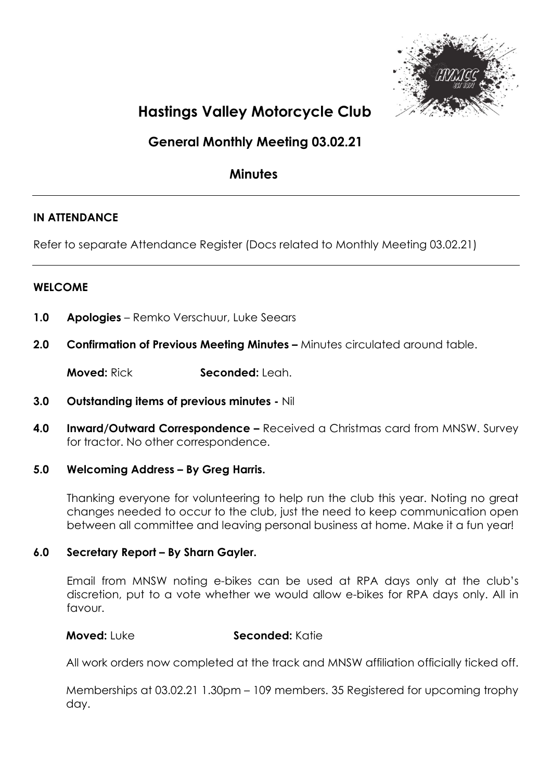

# Hastings Valley Motorcycle Club

# General Monthly Meeting 03.02.21

# **Minutes**

# IN ATTENDANCE

Refer to separate Attendance Register (Docs related to Monthly Meeting 03.02.21)

# WELCOME

- 1.0 Apologies Remko Verschuur, Luke Seears
- 2.0 Confirmation of Previous Meeting Minutes Minutes circulated around table.

Moved: Rick Seconded: Leah.

- 3.0 Outstanding items of previous minutes Nil
- **4.0 Inward/Outward Correspondence –** Received a Christmas card from MNSW. Survey for tractor. No other correspondence.

# 5.0 Welcoming Address – By Greg Harris.

Thanking everyone for volunteering to help run the club this year. Noting no great changes needed to occur to the club, just the need to keep communication open between all committee and leaving personal business at home. Make it a fun year!

# 6.0 Secretary Report – By Sharn Gayler.

Email from MNSW noting e-bikes can be used at RPA days only at the club's discretion, put to a vote whether we would allow e-bikes for RPA days only. All in favour.

# Moved: Luke Seconded: Katie

All work orders now completed at the track and MNSW affiliation officially ticked off.

Memberships at 03.02.21 1.30pm – 109 members. 35 Registered for upcoming trophy day.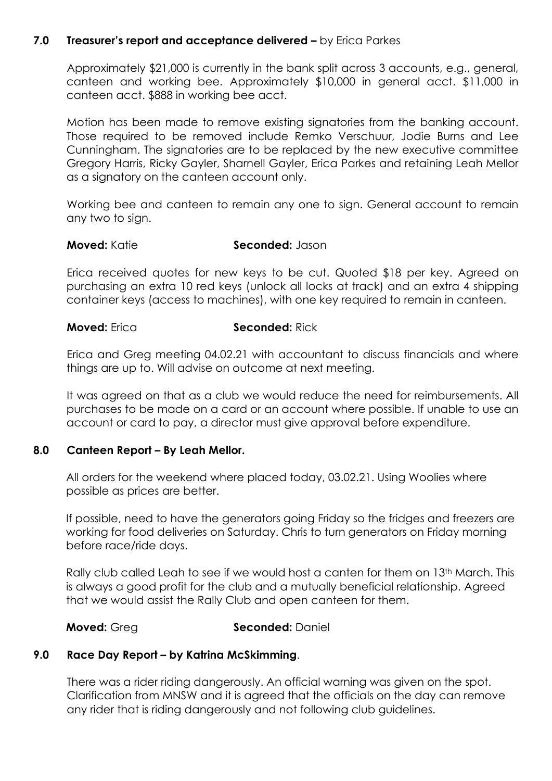# 7.0 Treasurer's report and acceptance delivered - by Erica Parkes

Approximately \$21,000 is currently in the bank split across 3 accounts, e.g., general, canteen and working bee. Approximately \$10,000 in general acct. \$11,000 in canteen acct. \$888 in working bee acct.

Motion has been made to remove existing signatories from the banking account. Those required to be removed include Remko Verschuur, Jodie Burns and Lee Cunningham. The signatories are to be replaced by the new executive committee Gregory Harris, Ricky Gayler, Sharnell Gayler, Erica Parkes and retaining Leah Mellor as a signatory on the canteen account only.

Working bee and canteen to remain any one to sign. General account to remain any two to sign.

### **Moved:** Katie **Seconded:** Jason

Erica received quotes for new keys to be cut. Quoted \$18 per key. Agreed on purchasing an extra 10 red keys (unlock all locks at track) and an extra 4 shipping container keys (access to machines), with one key required to remain in canteen.

### **Moved:** Erica **Seconded:** Rick

Erica and Greg meeting 04.02.21 with accountant to discuss financials and where things are up to. Will advise on outcome at next meeting.

It was agreed on that as a club we would reduce the need for reimbursements. All purchases to be made on a card or an account where possible. If unable to use an account or card to pay, a director must give approval before expenditure.

# 8.0 Canteen Report – By Leah Mellor.

 All orders for the weekend where placed today, 03.02.21. Using Woolies where possible as prices are better.

 If possible, need to have the generators going Friday so the fridges and freezers are working for food deliveries on Saturday. Chris to turn generators on Friday morning before race/ride days.

Rally club called Leah to see if we would host a canten for them on 13<sup>th</sup> March. This is always a good profit for the club and a mutually beneficial relationship. Agreed that we would assist the Rally Club and open canteen for them.

# **Moved:** Greg Seconded: Daniel

# 9.0 Race Day Report – by Katrina McSkimming.

There was a rider riding dangerously. An official warning was given on the spot. Clarification from MNSW and it is agreed that the officials on the day can remove any rider that is riding dangerously and not following club guidelines.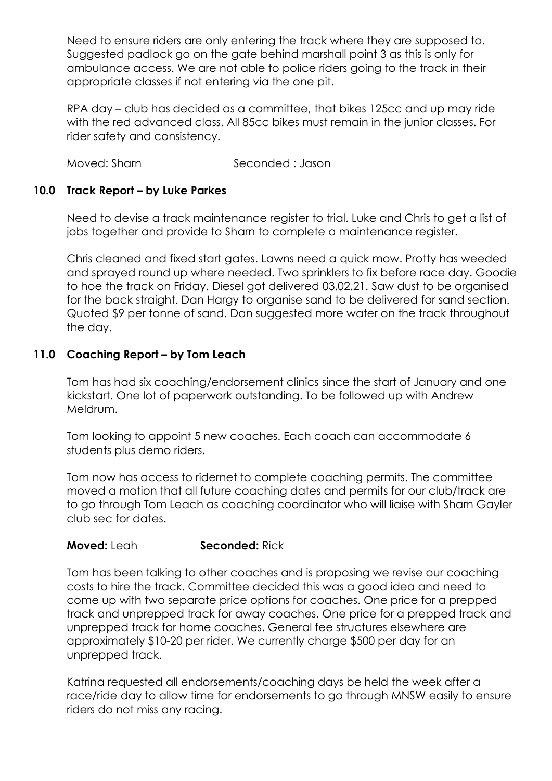Need to ensure riders are only entering the track where they are supposed to. Suggested padlock go on the gate behind marshall point 3 as this is only for ambulance access. We are not able to police riders going to the track in their appropriate classes if not entering via the one pit.

RPA day – club has decided as a committee, that bikes 125cc and up may ride with the red advanced class. All 85cc bikes must remain in the junior classes. For rider safety and consistency.

Moved: Sharn Seconded : Jason

# 10.0 Track Report – by Luke Parkes

Need to devise a track maintenance register to trial. Luke and Chris to get a list of jobs together and provide to Sharn to complete a maintenance register.

Chris cleaned and fixed start gates. Lawns need a quick mow. Protty has weeded and sprayed round up where needed. Two sprinklers to fix before race day. Goodie to hoe the track on Friday. Diesel got delivered 03.02.21. Saw dust to be organised for the back straight. Dan Hargy to organise sand to be delivered for sand section. Quoted \$9 per tonne of sand. Dan suggested more water on the track throughout the day.

# 11.0 Coaching Report – by Tom Leach

Tom has had six coaching/endorsement clinics since the start of January and one kickstart. One lot of paperwork outstanding. To be followed up with Andrew Meldrum.

Tom looking to appoint 5 new coaches. Each coach can accommodate 6 students plus demo riders.

Tom now has access to ridernet to complete coaching permits. The committee moved a motion that all future coaching dates and permits for our club/track are to go through Tom Leach as coaching coordinator who will liaise with Sharn Gayler club sec for dates.

# **Moved:** Leah **Seconded:** Rick

Tom has been talking to other coaches and is proposing we revise our coaching costs to hire the track. Committee decided this was a good idea and need to come up with two separate price options for coaches. One price for a prepped track and unprepped track for away coaches. One price for a prepped track and unprepped track for home coaches. General fee structures elsewhere are approximately \$10-20 per rider. We currently charge \$500 per day for an unprepped track.

Katrina requested all endorsements/coaching days be held the week after a race/ride day to allow time for endorsements to go through MNSW easily to ensure riders do not miss any racing.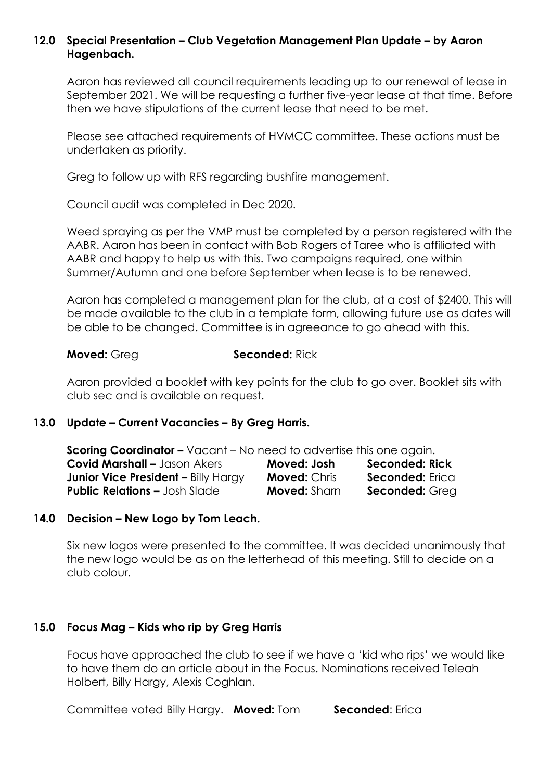# 12.0 Special Presentation – Club Vegetation Management Plan Update – by Aaron Hagenbach.

Aaron has reviewed all council requirements leading up to our renewal of lease in September 2021. We will be requesting a further five-year lease at that time. Before then we have stipulations of the current lease that need to be met.

Please see attached requirements of HVMCC committee. These actions must be undertaken as priority.

Greg to follow up with RFS regarding bushfire management.

Council audit was completed in Dec 2020.

Weed spraying as per the VMP must be completed by a person registered with the AABR. Aaron has been in contact with Bob Rogers of Taree who is affiliated with AABR and happy to help us with this. Two campaigns required, one within Summer/Autumn and one before September when lease is to be renewed.

Aaron has completed a management plan for the club, at a cost of \$2400. This will be made available to the club in a template form, allowing future use as dates will be able to be changed. Committee is in agreeance to go ahead with this.

### **Moved: Greg Seconded: Rick**

Aaron provided a booklet with key points for the club to go over. Booklet sits with club sec and is available on request.

# 13.0 Update – Current Vacancies – By Greg Harris.

| <b>Scoring Coordinator -</b> Vacant - No need to advertise this one again. |                     |                        |
|----------------------------------------------------------------------------|---------------------|------------------------|
| <b>Covid Marshall - Jason Akers</b>                                        | Moved: Josh         | <b>Seconded: Rick</b>  |
| <b>Junior Vice President - Billy Hargy</b>                                 | <b>Moved: Chris</b> | <b>Seconded:</b> Erica |
| <b>Public Relations - Josh Slade</b>                                       | <b>Moved:</b> Sharn | <b>Seconded: Greg</b>  |

# 14.0 Decision – New Logo by Tom Leach.

Six new logos were presented to the committee. It was decided unanimously that the new logo would be as on the letterhead of this meeting. Still to decide on a club colour.

# 15.0 Focus Mag – Kids who rip by Greg Harris

Focus have approached the club to see if we have a 'kid who rips' we would like to have them do an article about in the Focus. Nominations received Teleah Holbert, Billy Hargy, Alexis Coghlan.

Committee voted Billy Hargy. Moved: Tom Seconded: Erica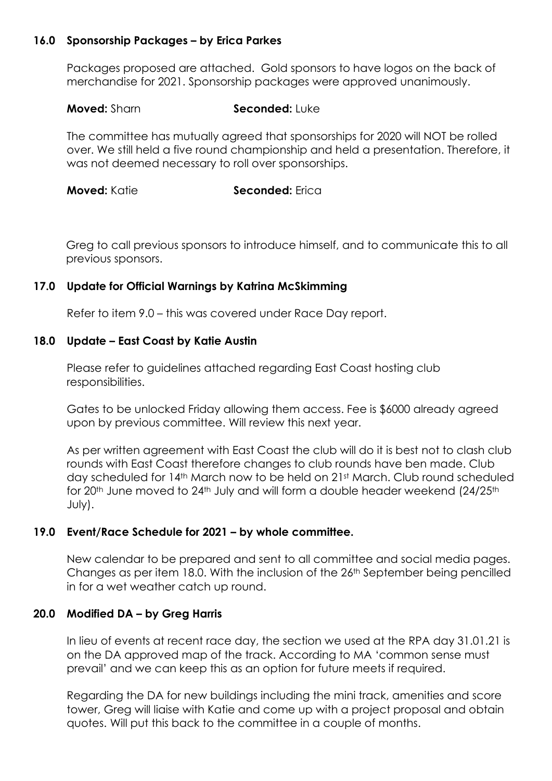# 16.0 Sponsorship Packages – by Erica Parkes

Packages proposed are attached. Gold sponsors to have logos on the back of merchandise for 2021. Sponsorship packages were approved unanimously.

### Moved: Sharn Seconded: Luke

The committee has mutually agreed that sponsorships for 2020 will NOT be rolled over. We still held a five round championship and held a presentation. Therefore, it was not deemed necessary to roll over sponsorships.

**Moved:** Katie **Seconded:** Frica

Greg to call previous sponsors to introduce himself, and to communicate this to all previous sponsors.

### 17.0 Update for Official Warnings by Katrina McSkimming

Refer to item 9.0 – this was covered under Race Day report.

### 18.0 Update – East Coast by Katie Austin

Please refer to guidelines attached regarding East Coast hosting club responsibilities.

Gates to be unlocked Friday allowing them access. Fee is \$6000 already agreed upon by previous committee. Will review this next year.

As per written agreement with East Coast the club will do it is best not to clash club rounds with East Coast therefore changes to club rounds have ben made. Club day scheduled for 14th March now to be held on 21st March. Club round scheduled for 20<sup>th</sup> June moved to 24<sup>th</sup> July and will form a double header weekend (24/25<sup>th</sup>) July).

# 19.0 Event/Race Schedule for 2021 – by whole committee.

 New calendar to be prepared and sent to all committee and social media pages. Changes as per item 18.0. With the inclusion of the 26<sup>th</sup> September being pencilled in for a wet weather catch up round.

# 20.0 Modified DA – by Greg Harris

In lieu of events at recent race day, the section we used at the RPA day 31.01.21 is on the DA approved map of the track. According to MA 'common sense must prevail' and we can keep this as an option for future meets if required.

Regarding the DA for new buildings including the mini track, amenities and score tower, Greg will liaise with Katie and come up with a project proposal and obtain quotes. Will put this back to the committee in a couple of months.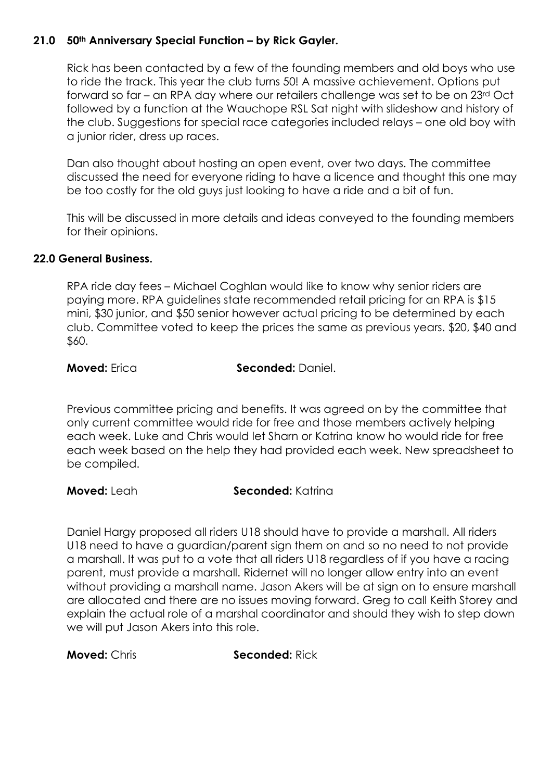# 21.0 50<sup>th</sup> Anniversary Special Function - by Rick Gayler.

Rick has been contacted by a few of the founding members and old boys who use to ride the track. This year the club turns 50! A massive achievement. Options put forward so far – an RPA day where our retailers challenge was set to be on 23rd Oct followed by a function at the Wauchope RSL Sat night with slideshow and history of the club. Suggestions for special race categories included relays – one old boy with a junior rider, dress up races.

Dan also thought about hosting an open event, over two days. The committee discussed the need for everyone riding to have a licence and thought this one may be too costly for the old guys just looking to have a ride and a bit of fun.

This will be discussed in more details and ideas conveyed to the founding members for their opinions.

# 22.0 General Business.

RPA ride day fees – Michael Coghlan would like to know why senior riders are paying more. RPA guidelines state recommended retail pricing for an RPA is \$15 mini, \$30 junior, and \$50 senior however actual pricing to be determined by each club. Committee voted to keep the prices the same as previous years. \$20, \$40 and \$60.

**Moved:** Erica Seconded: Daniel.

Previous committee pricing and benefits. It was agreed on by the committee that only current committee would ride for free and those members actively helping each week. Luke and Chris would let Sharn or Katrina know ho would ride for free each week based on the help they had provided each week. New spreadsheet to be compiled.

**Moved:** Leah Seconded: Katrina

Daniel Hargy proposed all riders U18 should have to provide a marshall. All riders U18 need to have a guardian/parent sign them on and so no need to not provide a marshall. It was put to a vote that all riders U18 regardless of if you have a racing parent, must provide a marshall. Ridernet will no longer allow entry into an event without providing a marshall name. Jason Akers will be at sign on to ensure marshall are allocated and there are no issues moving forward. Greg to call Keith Storey and explain the actual role of a marshal coordinator and should they wish to step down we will put Jason Akers into this role.

**Moved: Chris Seconded: Rick**